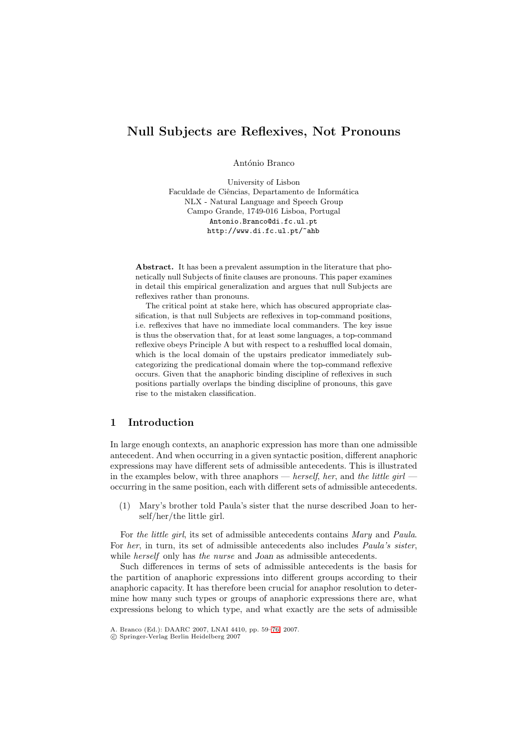# **Null Subjects are Reflexives, Not Pronouns**

António Branco

University of Lisbon Faculdade de Ciências, Departamento de Informática NLX - Natural Language and Speech Group Campo Grande, 1749-016 Lisboa, Portugal Antonio.Branco@di.fc.ul.pt http://www.di.fc.ul.pt/~ahb

**Abstract.** It has been a prevalent assumption in the literature that phonetically null Subjects of finite clauses are pronouns. This paper examines in detail this empirical generalization and argues that null Subjects are reflexives rather than pronouns.

The critical point at stake here, which has obscured appropriate classification, is that null Subjects are reflexives in top-command positions, i.e. reflexives that have no immediate local commanders. The key issue is thus the observation that, for at least some languages, a top-command reflexive obeys Principle A but with respect to a reshuffled local domain, which is the local domain of the upstairs predicator immediately subcategorizing the predicational domain where the top-command reflexive occurs. Given that the anaphoric binding discipline of reflexives in such positions partially overlaps the binding discipline of pronouns, this gave rise to the mistaken classification.

# **1 Introduction**

In large enough contexts, an anaphoric expression has more than one admissible antecedent. And when occurring in a given syntactic position, different anaphoric expressions may have different sets of admissible antecedents. This is illustrated in the examples below, with three anaphors — *herself*, *her*, and *the little girl* occurring in the same position, each with different sets of admissible antecedents.

(1) Mary's brother told Paula's sister that the nurse described Joan to herself/her/the little girl.

For *the little girl*, its set of admissible antecedents contains *Mary* and *Paula*. For *her*, in turn, its set of admissible antecedents also includes *Paula's sister*, while *herself* only has *the nurse* and *Joan* as admissible antecedents.

Such differences in terms of sets of admissible antecedents is the basis for the partition of anaphoric expressions into different groups according to their anaphoric capacity. It has therefore been crucial for anaphor resolution to determine how many such types or groups of anaphoric expressions there are, what expressions belong to which type, and what exactly are the sets of admissible

A. Branco (Ed.): DAARC 2007, LNAI 4410, pp. 59[–76,](#page-17-0) 2007.

<sup>-</sup>c Springer-Verlag Berlin Heidelberg 2007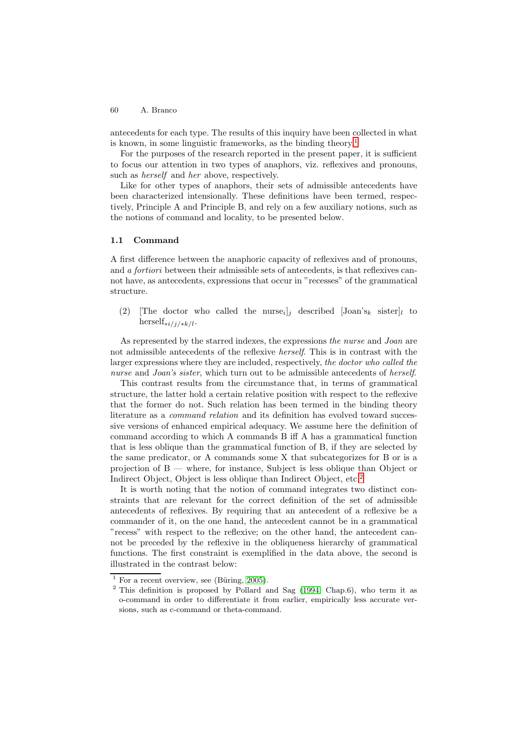antecedents for each type. The results of this inquiry have been collected in what is known, in some linguistic frameworks, as the binding theory.<sup>1</sup>

For the purposes of the research reported in the present paper, it is sufficient to focus our attention in two types of anaphors, viz. reflexives and pronouns, such as *herself* and *her* above, respectively.

Like for other types of anaphors, their sets of admissible antecedents have been characterized intensionally. These definitions have been termed, respectively, Principle A and Principle B, and rely on a few auxiliary notions, such as the notions of command and locality, to be presented below.

#### **1.1 Command**

A first difference between the anaphoric capacity of reflexives and of pronouns, and *a fortiori* between their admissible sets of antecedents, is that reflexives cannot have, as antecedents, expressions that occur in "recesses" of the grammatical structure.

(2) The doctor who called the nurse<sub>i</sub>, described  $[John's_k]$  sister  $\vert_l$  to herself∗*i/j/*∗*k/l*.

As represented by the starred indexes, the expressions *the nurse* and *Joan* are not admissible antecedents of the reflexive *herself*. This is in contrast with the larger expressions where they are included, respectively, *the doctor who called the nurse* and *Joan's sister*, which turn out to be admissible antecedents of *herself*.

This contrast results from the circumstance that, in terms of grammatical structure, the latter hold a certain relative position with respect to the reflexive that the former do not. Such relation has been termed in the binding theory literature as a *command relation* and its definition has evolved toward successive versions of enhanced empirical adequacy. We assume here the definition of command according to which A commands B iff A has a grammatical function that is less oblique than the grammatical function of B, if they are selected by the same predicator, or A commands some X that subcategorizes for B or is a projection of  $B$  — where, for instance, Subject is less oblique than Object or Indirect Object, Object is less oblique than Indirect Object, etc.<sup>2</sup>

It is worth noting that the notion of command integrates two distinct constraints that are relevant for the correct definition of the set of admissible antecedents of reflexives. By requiring that an antecedent of a reflexive be a commander of it, on the one hand, the antecedent cannot be in a grammatical "recess" with respect to the reflexive; on the other hand, the antecedent cannot be preceded by the reflexive in the obliqueness hierarchy of grammatical functions. The first constraint is exemplified in the data above, the second is illustrated in the contrast below:

 $\frac{1}{1}$  For a recent overview, see (Büring, 2005).

<sup>2</sup> This definition is proposed by Pollard and Sag (1994: Chap.6), who term it as o-command in order to differentiate it from earlier, empirically less accurate versions, such as c-command or theta-command.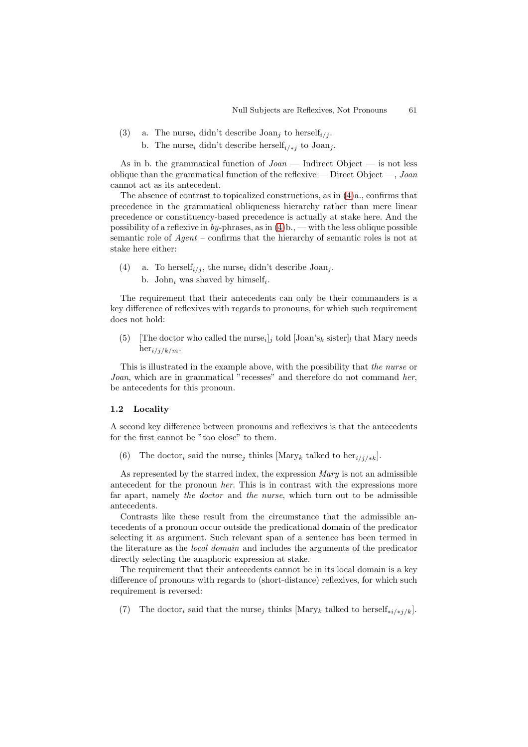- (3) a. The nurse<sub>i</sub> didn't describe  $\text{Joan}_j$  to herself<sub>i/j</sub>.
	- b. The nurse<sub>i</sub> didn't describe herself<sub>i/\*j</sub> to Joan<sub>j</sub>.

As in b. the grammatical function of *Joan* — Indirect Object — is not less oblique than the grammatical function of the reflexive — Direct Object —, *Joan* cannot act as its antecedent.

The absence of contrast to topicalized constructions, as in  $(4)a$  $(4)a$ , confirms that precedence in the grammatical obliqueness hierarchy rather than mere linear precedence or constituency-based precedence is actually at stake here. And the possibility of a reflexive in *by*-phrases, as in [\(4\)](#page-2-0)b., — with the less oblique possible semantic role of *Agent* – confirms that the hierarchy of semantic roles is not at stake here either:

- <span id="page-2-0"></span>(4) a. To herself<sub>i/j</sub>, the nurse<sub>i</sub> didn't describe  $\text{Joan}_j$ .
	- b. John*<sup>i</sup>* was shaved by himself*i*.

The requirement that their antecedents can only be their commanders is a key difference of reflexives with regards to pronouns, for which such requirement does not hold:

(5) [The doctor who called the nurse<sub>i</sub>]<sub>j</sub> told [Joan's<sub>k</sub> sister]<sub>l</sub> that Mary needs  $\text{her}_{i/j/k/m}$ .

This is illustrated in the example above, with the possibility that *the nurse* or *Joan*, which are in grammatical "recesses" and therefore do not command *her*, be antecedents for this pronoun.

### **1.2 Locality**

A second key difference between pronouns and reflexives is that the antecedents for the first cannot be "too close" to them.

(6) The doctor<sub>*i*</sub> said the nurse<sub>j</sub> thinks [Mary<sub>k</sub> talked to her<sub>*i/j/*\*k</sub>].

As represented by the starred index, the expression *Mary* is not an admissible antecedent for the pronoun *her*. This is in contrast with the expressions more far apart, namely *the doctor* and *the nurse*, which turn out to be admissible antecedents.

Contrasts like these result from the circumstance that the admissible antecedents of a pronoun occur outside the predicational domain of the predicator selecting it as argument. Such relevant span of a sentence has been termed in the literature as the *local domain* and includes the arguments of the predicator directly selecting the anaphoric expression at stake.

The requirement that their antecedents cannot be in its local domain is a key difference of pronouns with regards to (short-distance) reflexives, for which such requirement is reversed:

(7) The doctor<sub>*i*</sub> said that the nurse<sub>*j*</sub> thinks [Mary<sub>*k*</sub> talked to herself<sub>\**i/*\**j/k*].</sub>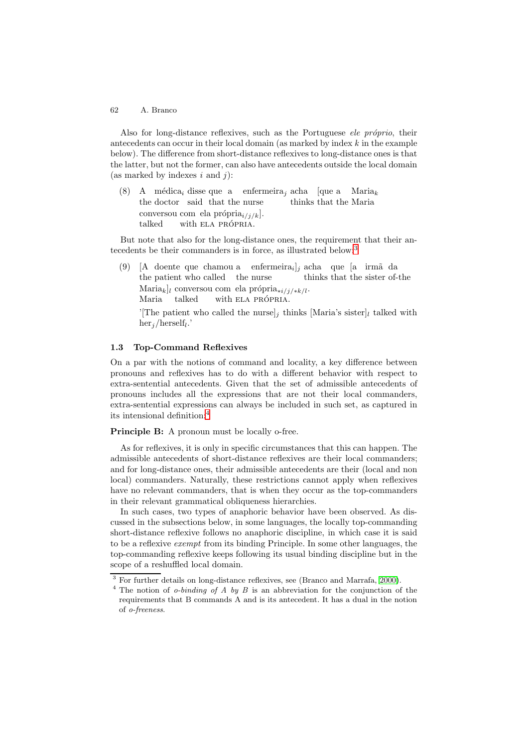Also for long-distance reflexives, such as the Portuguese *ele próprio*, their antecedents can occur in their local domain (as marked by index *k* in the example below). The difference from short-distance reflexives to long-distance ones is that the latter, but not the former, can also have antecedents outside the local domain (as marked by indexes *i* and *j*):

(8) A médica<sub>i</sub> disse que a enfermeira<sub>j</sub> acha [que a Maria<sub>k</sub> the doctor said that the nurse thinks that the Maria conversou com ela própria<sub>i/j/k</sub>]. talked with ELA PRÓPRIA.

But note that also for the long-distance ones, the requirement that their antecedents be their commanders is in force, as illustrated below:<sup>3</sup>

 $(9)$ the patient who called the nurse doente que chamou a enfermeira<sub>i</sub>]<sub>j</sub> acha que [a irmã da thinks that the sister of-the  $\text{Maria}_k$ ] *l*conversou com ela própria<sub>\* $i/j/*k/l$ </sub>. Maria talked with ELA PRÓPRIA. '[The patient who called the nurse]<sub>j</sub> thinks [Maria's sister]<sub>l</sub> talked with her*j*/herself*l*.'

# **1.3 Top-Command Reflexives**

On a par with the notions of command and locality, a key difference between pronouns and reflexives has to do with a different behavior with respect to extra-sentential antecedents. Given that the set of admissible antecedents of pronouns includes all the expressions that are not their local commanders, extra-sentential expressions can always be included in such set, as captured in its intensional definition:<sup>4</sup>

**Principle B:** A pronoun must be locally o-free.

As for reflexives, it is only in specific circumstances that this can happen. The admissible antecedents of short-distance reflexives are their local commanders; and for long-distance ones, their admissible antecedents are their (local and non local) commanders. Naturally, these restrictions cannot apply when reflexives have no relevant commanders, that is when they occur as the top-commanders in their relevant grammatical obliqueness hierarchies.

In such cases, two types of anaphoric behavior have been observed. As discussed in the subsections below, in some languages, the locally top-commanding short-distance reflexive follows no anaphoric discipline, in which case it is said to be a reflexive *exempt* from its binding Principle. In some other languages, the top-commanding reflexive keeps following its usual binding discipline but in the scope of a reshuffled local domain.

<sup>&</sup>lt;sup>3</sup> For further details on long-distance reflexives, see (Branco and Marrafa, 2000).

<sup>4</sup> The notion of *o-binding of A by B* is an abbreviation for the conjunction of the requirements that B commands A and is its antecedent. It has a dual in the notion of *o-freeness*.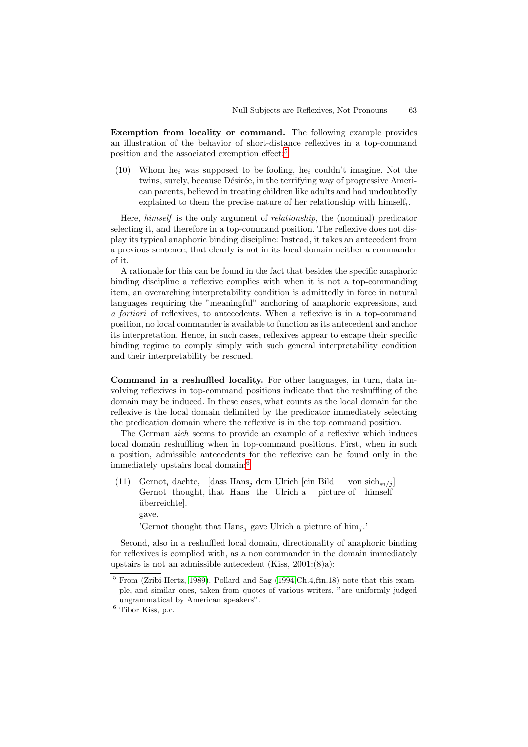<span id="page-4-0"></span>**Exemption from locality or command.** The following example provides an illustration of the behavior of short-distance reflexives in a top-command position and the associated exemption effect:<sup>5</sup>

(10) Whom he*<sup>i</sup>* was supposed to be fooling, he*<sup>i</sup>* couldn't imagine. Not the twins, surely, because Désirée, in the terrifying way of progressive American parents, believed in treating children like adults and had undoubtedly explained to them the precise nature of her relationship with himself*i*.

Here, *himself* is the only argument of *relationship*, the (nominal) predicator selecting it, and therefore in a top-command position. The reflexive does not display its typical anaphoric binding discipline: Instead, it takes an antecedent from a previous sentence, that clearly is not in its local domain neither a commander of it.

A rationale for this can be found in the fact that besides the specific anaphoric binding discipline a reflexive complies with when it is not a top-commanding item, an overarching interpretability condition is admittedly in force in natural languages requiring the "meaningful" anchoring of anaphoric expressions, and *a fortiori* of reflexives, to antecedents. When a reflexive is in a top-command position, no local commander is available to function as its antecedent and anchor its interpretation. Hence, in such cases, reflexives appear to escape their specific binding regime to comply simply with such general interpretability condition and their interpretability be rescued.

**Command in a reshuffled locality.** For other languages, in turn, data involving reflexives in top-command positions indicate that the reshuffling of the domain may be induced. In these cases, what counts as the local domain for the reflexive is the local domain delimited by the predicator immediately selecting the predication domain where the reflexive is in the top command position.

The German *sich* seems to provide an example of a reflexive which induces local domain reshuffling when in top-command positions. First, when in such a position, admissible antecedents for the reflexive can be found only in the immediately upstairs local domain:<sup>6</sup>

(11) Gernot*<sup>i</sup>* dachte, [dass Hans*<sup>j</sup>* dem Ulrich [ein Bild Gernot thought, that Hans the Ulrich a picture of himself von sich∗*i/j* ] uberreichte]. ¨ gave.

'Gernot thought that  $\text{Hans}_i$  gave Ulrich a picture of  $\text{him}_i$ .'

Second, also in a reshuffled local domain, directionality of anaphoric binding for reflexives is complied with, as a non commander in the domain immediately upstairs is not an admissible antecedent (Kiss, 2001:(8)a):

 $\frac{5}{5}$  From (Zribi-Hertz, 1989). Pollard and Sag (1994:Ch.4,ftn.18) note that this example, and similar ones, taken from quotes of various writers, "are uniformly judged ungrammatical by American speakers".

 $^6$  Tibor Kiss, p.c.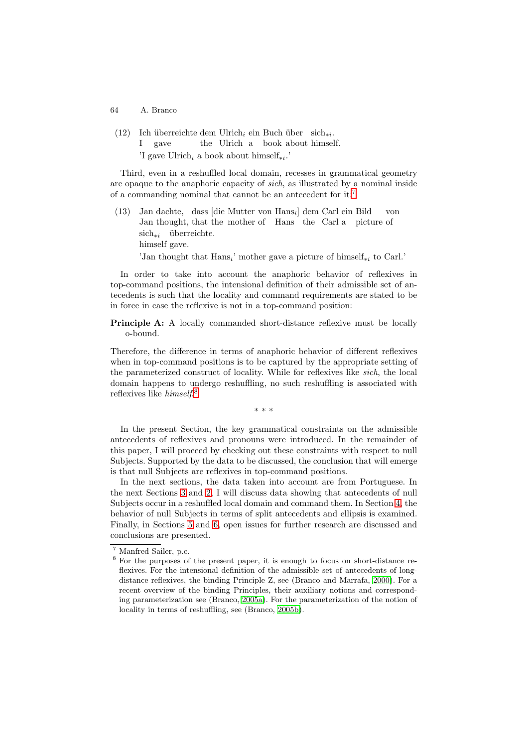<span id="page-5-0"></span>(12) Ich überreichte dem Ulrich<sub>*i*</sub></sub> ein Buch über sich<sub>\**i*</sub>. I gave the Ulrich a book about himself. 'I gave Ulrich*<sup>i</sup>* a book about himself∗*i*.'

Third, even in a reshuffled local domain, recesses in grammatical geometry are opaque to the anaphoric capacity of *sich*, as illustrated by a nominal inside of a commanding nominal that cannot be an antecedent for it:<sup>7</sup>

- (13) Jan dachte, dass [die Mutter von Hans*i*] dem Carl ein Bild Jan thought, that the mother of Hans the Carl a picture of von sich<sub>∗*i*</sub> überreichte. himself gave.
	- 'Jan thought that Hans*i*' mother gave a picture of himself∗*<sup>i</sup>* to Carl.'

In order to take into account the anaphoric behavior of reflexives in top-command positions, the intensional definition of their admissible set of antecedents is such that the locality and command requirements are stated to be in force in case the reflexive is not in a top-command position:

**Principle A:** A locally commanded short-distance reflexive must be locally o-bound.

Therefore, the difference in terms of anaphoric behavior of different reflexives when in top-command positions is to be captured by the appropriate setting of the parameterized construct of locality. While for reflexives like *sich*, the local domain happens to undergo reshuffling, no such reshuffling is associated with reflexives like *himself*. 8

\*\*\*

In the present Section, the key grammatical constraints on the admissible antecedents of reflexives and pronouns were introduced. In the remainder of this paper, I will proceed by checking out these constraints with respect to null Subjects. Supported by the data to be discussed, the conclusion that will emerge is that null Subjects are reflexives in top-command positions.

In the next sections, the data taken into account are from Portuguese. In the next Sections [3](#page-10-0) and [2,](#page-6-0) I will discuss data showing that antecedents of null Subjects occur in a reshuffled local domain and command them. In Section [4,](#page-11-0) the behavior of null Subjects in terms of split antecedents and ellipsis is examined. Finally, in Sections [5](#page-13-0) and [6,](#page-15-0) open issues for further research are discussed and conclusions are presented.

 $^7$  Manfred Sailer, p.c.  $^8$  For the nurnoses of

<sup>8</sup> For the purposes of the present paper, it is enough to focus on short-distance reflexives. For the intensional definition of the admissible set of antecedents of longdistance reflexives, the binding Principle Z, see (Branco and Marrafa, 2000). For a recent overview of the binding Principles, their auxiliary notions and corresponding parameterization see (Branco, 2005a). For the parameterization of the notion of locality in terms of reshuffling, see (Branco, 2005b).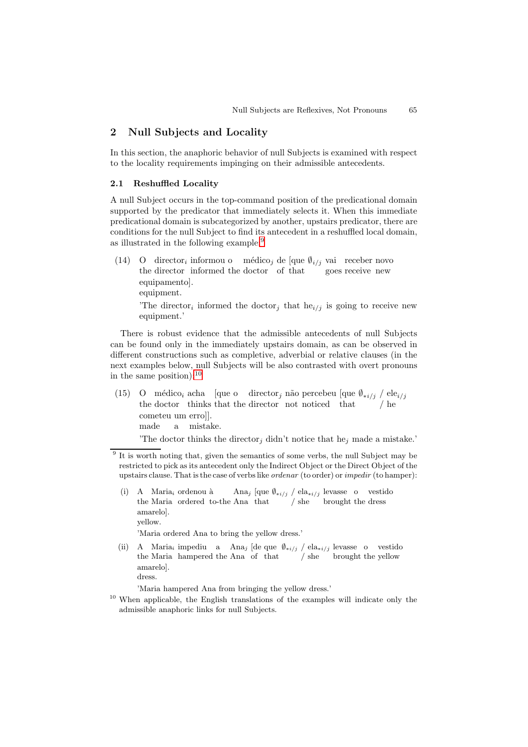# <span id="page-6-0"></span>**2 Null Subjects and Locality**

In this section, the anaphoric behavior of null Subjects is examined with respect to the locality requirements impinging on their admissible antecedents.

### <span id="page-6-3"></span>**2.1 Reshuffled Locality**

A null Subject occurs in the top-command position of the predicational domain supported by the predicator that immediately selects it. When this immediate predicational domain is subcategorized by another, upstairs predicator, there are conditions for the null Subject to find its antecedent in a reshuffled local domain, as illustrated in the following example:<sup>9</sup>

<span id="page-6-2"></span> $(14)$ the director informed the doctor of that director<sub>i</sub> informou o médico<sub>j</sub> de [que  $\emptyset_{i/j}$  vai receber novo goes receive new equipamento]. equipment. The director<sub>i</sub> informed the doctor<sub>j</sub> that he<sub>i/j</sub> is going to receive new equipment.'

There is robust evidence that the admissible antecedents of null Subjects can be found only in the immediately upstairs domain, as can be observed in different constructions such as completive, adverbial or relative clauses (in the next examples below, null Subjects will be also contrasted with overt pronouns in the same position):<sup>10</sup>

<span id="page-6-1"></span>(15) O médico<sub>*i*</sub> acha [que o director<sub>*j*</sub></sub> não percebeu [que  $\theta_{*i/j}$  / ele<sub>*i/j*</sub> the doctor thinks that the director not noticed that / he cometeu um erro]]. made a mistake.

'The doctor thinks the director<sub>j</sub> didn't notice that he<sub>j</sub> made a mistake.'

(i) A Maria<sub>*i*</sub> ordenou à the Maria ordered to-the Ana that Ana*<sup>j</sup>* [que ∅∗*i/<sup>j</sup>* / ela∗*i/j* levasse o vestido / she brought the dress amarelo]. yellow.

'Maria ordered Ana to bring the yellow dress.'

(ii) A Maria*<sup>i</sup>* impediu a Ana*<sup>j</sup>* [de que ∅∗*i/<sup>j</sup>* / ela∗*i/j* levasse o vestido the Maria hampered the Ana of that / she brought the yellow amarelo]. dress.

'Maria hampered Ana from bringing the yellow dress.'

<sup>10</sup> When applicable, the English translations of the examples will indicate only the admissible anaphoric links for null Subjects.

<sup>&</sup>lt;sup>9</sup> It is worth noting that, given the semantics of some verbs, the null Subject may be restricted to pick as its antecedent only the Indirect Object or the Direct Object of the upstairs clause. That is the case of verbs like *ordenar* (to order) or *impedir* (to hamper):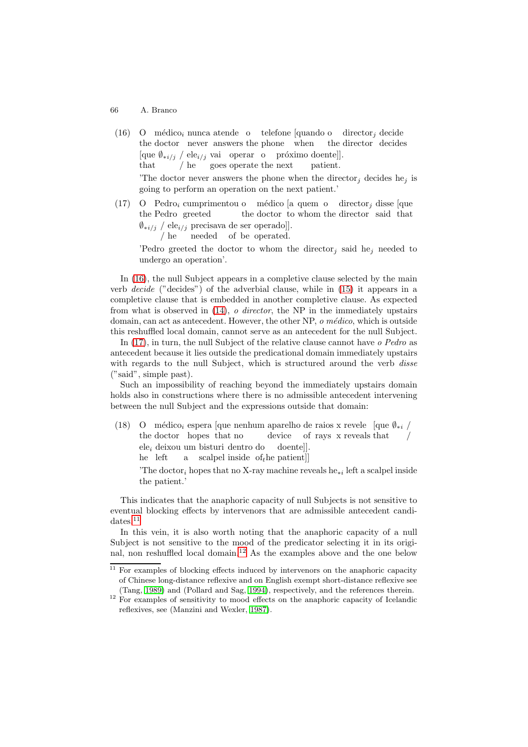- <span id="page-7-0"></span> $(16)$ the doctor never answers the phone when the director decides  $\text{m\'edico}_i$  nunca atende o telefone [quando o director<sub>j</sub> decide [que  $\emptyset_{\ast i/j}$  / ele<sub>*i/j*</sub> vai operar o próximo doente]]. that / he goes operate the next patient. The doctor never answers the phone when the director<sub>j</sub> decides he<sub>j</sub> is going to perform an operation on the next patient.'
- <span id="page-7-1"></span>(17) O Pedro<sub>i</sub> cumprimentou o médico [a quem o director<sub>j</sub> disse [que the Pedro greeted the doctor to whom the director said that  $\emptyset_{*i/j}$  / ele<sub>*i/j*</sub> precisava de ser operado]]. / he needed of be operated.

'Pedro greeted the doctor to whom the director*<sup>j</sup>* said he*<sup>j</sup>* needed to undergo an operation'.

In [\(16\)](#page-7-0), the null Subject appears in a completive clause selected by the main verb *decide* ("decides") of the adverbial clause, while in [\(15\)](#page-6-1) it appears in a completive clause that is embedded in another completive clause. As expected from what is observed in [\(14\)](#page-6-2), *o director*, the NP in the immediately upstairs domain, can act as antecedent. However, the other NP, *o médico*, which is outside this reshuffled local domain, cannot serve as an antecedent for the null Subject.

In [\(17\)](#page-7-1), in turn, the null Subject of the relative clause cannot have *o Pedro* as antecedent because it lies outside the predicational domain immediately upstairs with regards to the null Subject, which is structured around the verb *disse* ("said", simple past).

Such an impossibility of reaching beyond the immediately upstairs domain holds also in constructions where there is no admissible antecedent intervening between the null Subject and the expressions outside that domain:

(18) O m´edico*<sup>i</sup>* espera [que nenhum aparelho de raios x revele [que ∅∗*<sup>i</sup>* / the doctor hopes that no device of rays x reveals that / ele*<sup>i</sup>* deixou um bisturi dentro do he left a scalpel inside of*t*he patient]] doente]].

'The doctor<sub>i</sub> hopes that no X-ray machine reveals he<sub> $*i$ </sub> left a scalpel inside the patient.'

This indicates that the anaphoric capacity of null Subjects is not sensitive to eventual blocking effects by intervenors that are admissible antecedent candi- $\mathrm{dates}$ <sup>11</sup>

In this vein, it is also worth noting that the anaphoric capacity of a null Subject is not sensitive to the mood of the predicator selecting it in its original, non reshuffled local domain.<sup>12</sup> As the examples above and the one below

 $\frac{11}{11}$  For examples of blocking effects induced by intervenors on the anaphoric capacity of Chinese long-distance reflexive and on English exempt short-distance reflexive see (Tang, 1989) and (Pollard and Sag, 1994), respectively, and the references therein.

<sup>&</sup>lt;sup>12</sup> For examples of sensitivity to mood effects on the anaphoric capacity of Icelandic reflexives, see (Manzini and Wexler, 1987).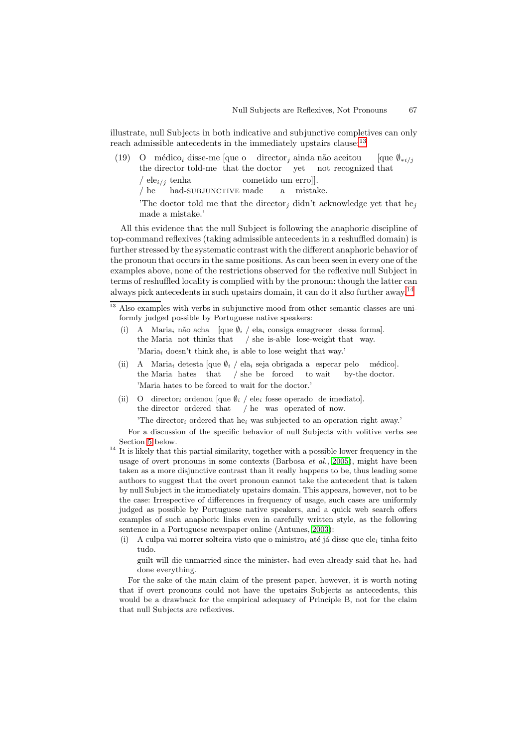illustrate, null Subjects in both indicative and subjunctive completives can only reach admissible antecedents in the immediately upstairs clause:<sup>13</sup>

 $(19)$ the director told-me that the doctor yet not recognized that  $\text{m\'edico}_i$  disse-me [que o coirector<sub>j</sub> ainda não aceitou [que ∅∗*i/<sup>j</sup>* / ele*i/j* tenha / he had-subjunctive made cometido um erro]]. a mistake. 'The doctor told me that the director<sub>j</sub> didn't acknowledge yet that  $he_j$ made a mistake.'

All this evidence that the null Subject is following the anaphoric discipline of top-command reflexives (taking admissible antecedents in a reshuffled domain) is further stressed by the systematic contrast with the different anaphoric behavior of the pronoun that occurs in the same positions. As can been seen in every one of the examples above, none of the restrictions observed for the reflexive null Subject in terms of reshuffled locality is complied with by the pronoun: though the latter can always pick antecedents in such upstairs domain, it can do it also further away.<sup>14</sup>

- $(i)$ the Maria not thinks that Maria<sub>*i*</sub> não acha [que  $\emptyset_i$  / ela<sub>*i*</sub> consiga emagrecer dessa forma]. / she is-able lose-weight that way. 'Maria*<sup>i</sup>* doesn't think she*<sup>i</sup>* is able to lose weight that way.'
- (ii) A Maria<sub>*i*</sub> detesta [que  $\emptyset$ <sup>*i*</sup> / ela<sub>*i*</sub> seja obrigada a esperar pelo the Maria hates that / she be forced to wait by-the doctor. médicol. 'Maria hates to be forced to wait for the doctor.'
- (ii) O director<sub>*i*</sub> ordenou [que  $\emptyset$ <sub>*i*</sub> / ele<sub>*i*</sub> fosse operado de imediato]. the director ordered that / he was operated of now.

'The director*<sup>i</sup>* ordered that he*<sup>i</sup>* was subjected to an operation right away.'

For a discussion of the specific behavior of null Subjects with volitive verbs see Section [5](#page-13-0) below.

- <sup>14</sup> It is likely that this partial similarity, together with a possible lower frequency in the usage of overt pronouns in some contexts (Barbosa *et al.*, 2005), might have been taken as a more disjunctive contrast than it really happens to be, thus leading some authors to suggest that the overt pronoun cannot take the antecedent that is taken by null Subject in the immediately upstairs domain. This appears, however, not to be the case: Irrespective of differences in frequency of usage, such cases are uniformly judged as possible by Portuguese native speakers, and a quick web search offers examples of such anaphoric links even in carefully written style, as the following sentence in a Portuguese newspaper online (Antunes, 2003):
	- (i) A culpa vai morrer solteira visto que o ministro<sub>i</sub> até já disse que ele<sub>i</sub> tinha feito tudo.

guilt will die unmarried since the minister*<sup>i</sup>* had even already said that he*<sup>i</sup>* had done everything.

For the sake of the main claim of the present paper, however, it is worth noting that if overt pronouns could not have the upstairs Subjects as antecedents, this would be a drawback for the empirical adequacy of Principle B, not for the claim that null Subjects are reflexives.

 $\frac{13}{13}$  Also examples with verbs in subjunctive mood from other semantic classes are uniformly judged possible by Portuguese native speakers: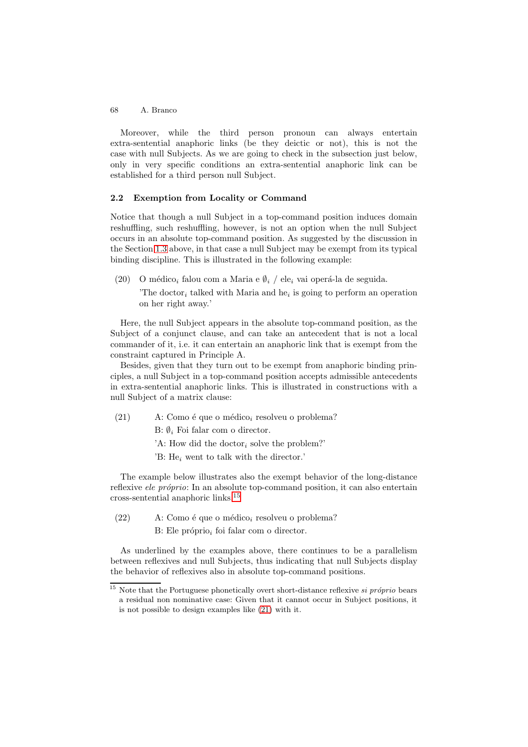Moreover, while the third person pronoun can always entertain extra-sentential anaphoric links (be they deictic or not), this is not the case with null Subjects. As we are going to check in the subsection just below, only in very specific conditions an extra-sentential anaphoric link can be established for a third person null Subject.

### **2.2 Exemption from Locality or Command**

Notice that though a null Subject in a top-command position induces domain reshuffling, such reshuffling, however, is not an option when the null Subject occurs in an absolute top-command position. As suggested by the discussion in the Section [1.3](#page-4-0) above, in that case a null Subject may be exempt from its typical binding discipline. This is illustrated in the following example:

(20) O médico<sub>i</sub> falou com a Maria e  $\ell_i$  / ele<sub>i</sub> vai operá-la de seguida.

'The doctor*<sup>i</sup>* talked with Maria and he*<sup>i</sup>* is going to perform an operation on her right away.'

Here, the null Subject appears in the absolute top-command position, as the Subject of a conjunct clause, and can take an antecedent that is not a local commander of it, i.e. it can entertain an anaphoric link that is exempt from the constraint captured in Principle A.

Besides, given that they turn out to be exempt from anaphoric binding principles, a null Subject in a top-command position accepts admissible antecedents in extra-sentential anaphoric links. This is illustrated in constructions with a null Subject of a matrix clause:

<span id="page-9-0"></span> $(21)$  A: Como é que o médico<sub>i</sub> resolveu o problema?

B:  $\emptyset_i$  Foi falar com o director.

'A: How did the doctor*<sup>i</sup>* solve the problem?'

'B: He*<sup>i</sup>* went to talk with the director.'

The example below illustrates also the exempt behavior of the long-distance reflexive *ele pr´oprio*: In an absolute top-command position, it can also entertain cross-sentential anaphoric links.<sup>15</sup>

 $(22)$  A: Como é que o médico<sub>i</sub> resolveu o problema? B: Ele próprio<sub>i</sub> foi falar com o director.

As underlined by the examples above, there continues to be a parallelism between reflexives and null Subjects, thus indicating that null Subjects display the behavior of reflexives also in absolute top-command positions.

<sup>&</sup>lt;sup>15</sup> Note that the Portuguese phonetically overt short-distance reflexive *si próprio* bears a residual non nominative case: Given that it cannot occur in Subject positions, it is not possible to design examples like [\(21\)](#page-9-0) with it.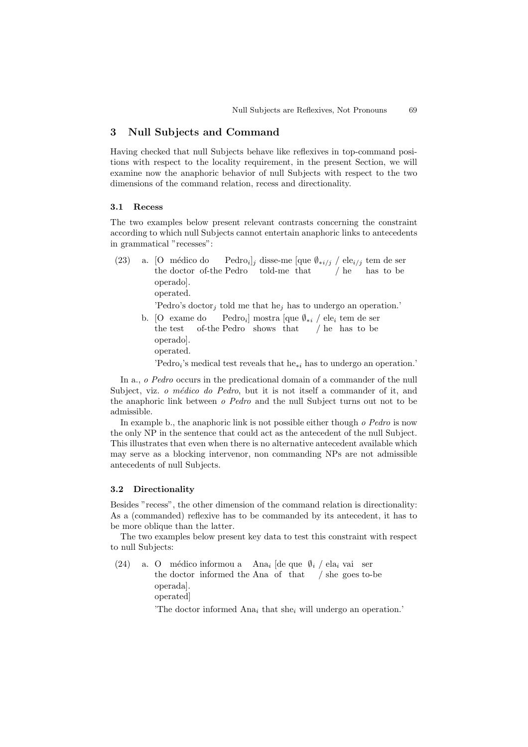# <span id="page-10-0"></span>**3 Null Subjects and Command**

Having checked that null Subjects behave like reflexives in top-command positions with respect to the locality requirement, in the present Section, we will examine now the anaphoric behavior of null Subjects with respect to the two dimensions of the command relation, recess and directionality.

### **3.1 Recess**

The two examples below present relevant contrasts concerning the constraint according to which null Subjects cannot entertain anaphoric links to antecedents in grammatical "recesses":

- $(23)$  a.  $[O \text{ médico do}]$ the doctor of-the Pedro told-me that Pedro<sub>*i*</sub><sup>*j*</sup> disse-me [que  $\emptyset_{*i/j}$  / ele<sub>*i/j*</sub> tem de ser / he has to be operado]. operated. 'Pedro's doctor*<sup>j</sup>* told me that he*<sup>j</sup>* has to undergo an operation.' b. [O exame do
	- the test of-the Pedro shows that Pedro<sub>*i*</sub>] mostra [que Ø<sub>∗*i*</sub> / ele<sub>*i*</sub> tem de ser / he has to be operado]. operated.

'Pedro*i*'s medical test reveals that he∗*<sup>i</sup>* has to undergo an operation.'

In a., *o Pedro* occurs in the predicational domain of a commander of the null Subject, viz. *o médico do Pedro*, but it is not itself a commander of it, and the anaphoric link between *o Pedro* and the null Subject turns out not to be admissible.

In example b., the anaphoric link is not possible either though *o Pedro* is now the only NP in the sentence that could act as the antecedent of the null Subject. This illustrates that even when there is no alternative antecedent available which may serve as a blocking intervenor, non commanding NPs are not admissible antecedents of null Subjects.

# **3.2 Directionality**

Besides "recess", the other dimension of the command relation is directionality: As a (commanded) reflexive has to be commanded by its antecedent, it has to be more oblique than the latter.

<span id="page-10-1"></span>The two examples below present key data to test this constraint with respect to null Subjects:

(24) a. O médico informou a Ana<sub>i</sub> [de que  $\emptyset_i$  / ela<sub>*i*</sub> vai ser the doctor informed the Ana of that / she goes to-be operada]. operated]

'The doctor informed Ana*<sup>i</sup>* that she*<sup>i</sup>* will undergo an operation.'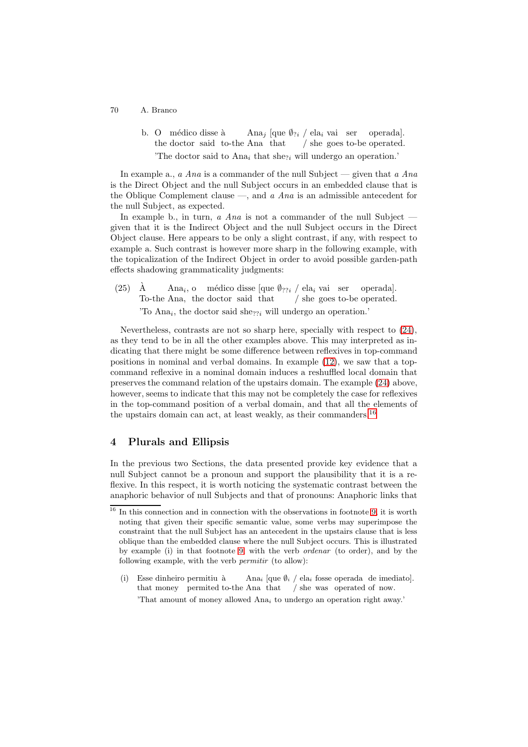b. O médico disse à the doctor said to-the Ana that Ana<sub>j</sub> [que  $\emptyset$ <sub>?*i*</sub> / ela<sub>*i*</sub> vai ser operada]. / she goes to-be operated. 'The doctor said to Ana<sub>i</sub> that she<sub>?*i*</sub> will undergo an operation.'

In example a., *a Ana* is a commander of the null Subject — given that *a Ana* is the Direct Object and the null Subject occurs in an embedded clause that is the Oblique Complement clause —, and *a Ana* is an admissible antecedent for the null Subject, as expected.

In example b., in turn, *a Ana* is not a commander of the null Subject given that it is the Indirect Object and the null Subject occurs in the Direct Object clause. Here appears to be only a slight contrast, if any, with respect to example a. Such contrast is however more sharp in the following example, with the topicalization of the Indirect Object in order to avoid possible garden-path effects shadowing grammaticality judgments:

 $(25)$   $\AA$ To-the Ana, the doctor said that Ana<sub>*i*</sub>, o médico disse [que Ø<sub>??*i*</sub> / ela<sub>*i*</sub> vai ser / she goes to-be operated. operada]. 'To Ana<sub>i</sub>, the doctor said she??<sub>i</sub> will undergo an operation.'

Nevertheless, contrasts are not so sharp here, specially with respect to [\(24\)](#page-10-1), as they tend to be in all the other examples above. This may interpreted as indicating that there might be some difference between reflexives in top-command positions in nominal and verbal domains. In example [\(12\)](#page-5-0), we saw that a topcommand reflexive in a nominal domain induces a reshuffled local domain that preserves the command relation of the upstairs domain. The example [\(24\)](#page-10-1) above, however, seems to indicate that this may not be completely the case for reflexives in the top-command position of a verbal domain, and that all the elements of the upstairs domain can act, at least weakly, as their commanders.<sup>16</sup>

# <span id="page-11-0"></span>**4 Plurals and Ellipsis**

In the previous two Sections, the data presented provide key evidence that a null Subject cannot be a pronoun and support the plausibility that it is a reflexive. In this respect, it is worth noticing the systematic contrast between the anaphoric behavior of null Subjects and that of pronouns: Anaphoric links that

(i) Esse dinheiro permitiu à that money permited to-the Ana that Ana<sub>*i*</sub> [que  $\emptyset$ <sub>*i*</sub> / ela<sub>*i*</sub> fosse operada de imediato]. / she was operated of now. 'That amount of money allowed Ana*<sup>i</sup>* to undergo an operation right away.'

 $\frac{16}{16}$  In this connection and in connection with the observations in footnote [9,](#page-6-3) it is worth noting that given their specific semantic value, some verbs may superimpose the constraint that the null Subject has an antecedent in the upstairs clause that is less oblique than the embedded clause where the null Subject occurs. This is illustrated by example (i) in that footnote [9,](#page-6-3) with the verb *ordenar* (to order), and by the following example, with the verb *permitir* (to allow):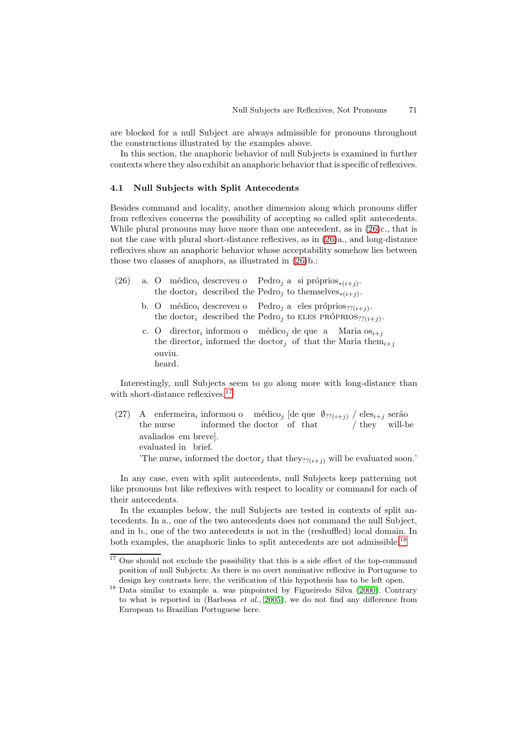are blocked for a null Subject are always admissible for pronouns throughout the constructions illustrated by the examples above.

In this section, the anaphoric behavior of null Subjects is examined in further contexts where they also exhibit an anaphoric behavior that is specific of reflexives.

### **4.1 Null Subjects with Split Antecedents**

Besides command and locality, another dimension along which pronouns differ from reflexives concerns the possibility of accepting so called split antecedents. While plural pronouns may have more than one antecedent, as in  $(26)c$  $(26)c$ , that is not the case with plural short-distance reflexives, as in [\(26\)](#page-12-0)a., and long-distance reflexives show an anaphoric behavior whose acceptability somehow lies between those two classes of anaphors, as illustrated in [\(26\)](#page-12-0)b.:

- <span id="page-12-0"></span>(26) a. O médico<sub>*i*</sub> descreveu o Pedro<sub>*j*</sub></sub> a si próprios<sub>\*(*i*+*j*).</sub> the doctor<sub>*i*</sub> described the Pedro<sub>*j*</sub></sub> to themselves<sub>\*(*i*+*j*).</sub>
	- b. O médico<sub>i</sub> descreveu o Pedro<sub>j</sub> a eles próprios<sub>??(*i*+*j*).</sub> the doctor<sub>*i*</sub> described the Pedro<sub>j</sub> to ELES PRÓPRIOS<sub>??(*i*+*j*).</sub>
	- c. O director<sub>i</sub> informou o médico<sub>j</sub> de que a Maria os<sub>i+j</sub> the director<sub>*i*</sub> informed the doctor<sub>*j*</sub> of that the Maria them<sub>*i*+*j*</sub> ouviu. heard.

Interestingly, null Subjects seem to go along more with long-distance than with short-distance reflexives:<sup>17</sup>

 $(27)$ the nurse enfermeira<sub>i</sub> informou o médico<sub>j</sub> [de que  $\mathcal{O}_{??(i+j)}$  / eles<sub>*i+j*</sub> serão informed the doctor of that / they will-be avaliados em breve]. evaluated in brief. 'The nurse<sub>i</sub> informed the doctor<sub>j</sub> that they??( $i+j$ ) will be evaluated soon.'

In any case, even with split antecedents, null Subjects keep patterning not like pronouns but like reflexives with respect to locality or command for each of their antecedents.

In the examples below, the null Subjects are tested in contexts of split antecedents. In a., one of the two antecedents does not command the null Subject, and in b., one of the two antecedents is not in the (reshuffled) local domain. In both examples, the anaphoric links to split antecedents are not admissible:<sup>18</sup>

 $17$  One should not exclude the possibility that this is a side effect of the top-command position of null Subjects: As there is no overt nominative reflexive in Portuguese to design key contrasts here, the verification of this hypothesis has to be left open.

<sup>&</sup>lt;sup>18</sup> Data similar to example a. was pinpointed by Figueiredo Silva (2000). Contrary to what is reported in (Barbosa *et al.*, 2005), we do not find any difference from European to Brazilian Portuguese here.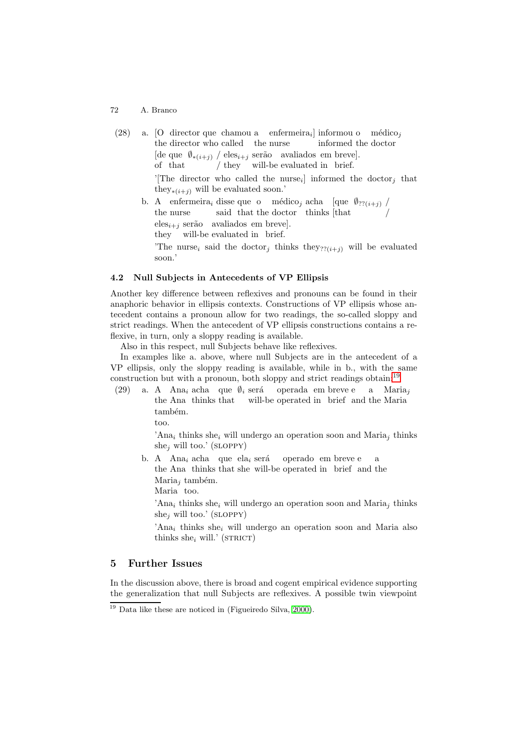- (28) a. [O director que chamou a enfermeira*i*] informou o m´edico*<sup>j</sup>* the director who called the nurse informed the doctor  $[\text{de que } \emptyset_{*(i+j)} \ / \text{eles}_{i+j} \text{ serão} \text{ avaliados em breve}].$ of that / they will-be evaluated in brief. '[The director who called the nurse*i*] informed the doctor*<sup>j</sup>* that they<sub>\*( $i+j$ </sub>) will be evaluated soon.'
	- b. A enfermeira<sub>i</sub> disse que o médico<sub>j</sub> acha [que  $\emptyset$ <sub>??(*i+j*)</sub> / the nurse said that the doctor thinks [that /  $e$ les<sub>*i*+*j*</sub> serão avaliados em breve]. they will-be evaluated in brief.
		- 'The nurse<sub>i</sub> said the doctor<sub>j</sub> thinks they<sub>??(*i*+*j*)</sub> will be evaluated soon.'

### **4.2 Null Subjects in Antecedents of VP Ellipsis**

Another key difference between reflexives and pronouns can be found in their anaphoric behavior in ellipsis contexts. Constructions of VP ellipsis whose antecedent contains a pronoun allow for two readings, the so-called sloppy and strict readings. When the antecedent of VP ellipsis constructions contains a reflexive, in turn, only a sloppy reading is available.

Also in this respect, null Subjects behave like reflexives.

In examples like a. above, where null Subjects are in the antecedent of a VP ellipsis, only the sloppy reading is available, while in b., with the same construction but with a pronoun, both sloppy and strict readings obtain:<sup>19</sup>

(29) a. A Ana<sub>i</sub> acha que  $\emptyset_i$  será operada em breve e a Maria<sub>j</sub> the Ana thinks that will-be operated in brief and the Maria também. too.

> 'Ana*<sup>i</sup>* thinks she*<sup>i</sup>* will undergo an operation soon and Maria*<sup>j</sup>* thinks she*<sup>j</sup>* will too.' (sloppy)

b. A Ana<sub>i</sub> acha que ela<sub>i</sub> será the Ana thinks that she will-be operated in brief and the operado em breve e a Maria<sub>j</sub> também. Maria too.

'Ana*<sup>i</sup>* thinks she*<sup>i</sup>* will undergo an operation soon and Maria*<sup>j</sup>* thinks she*<sup>j</sup>* will too.' (sloppy)

'Ana*<sup>i</sup>* thinks she*<sup>i</sup>* will undergo an operation soon and Maria also thinks  $she_i$  will.' (STRICT)

# <span id="page-13-0"></span>**5 Further Issues**

In the discussion above, there is broad and cogent empirical evidence supporting the generalization that null Subjects are reflexives. A possible twin viewpoint

 $\frac{19}{19}$  Data like these are noticed in (Figueiredo Silva, 2000).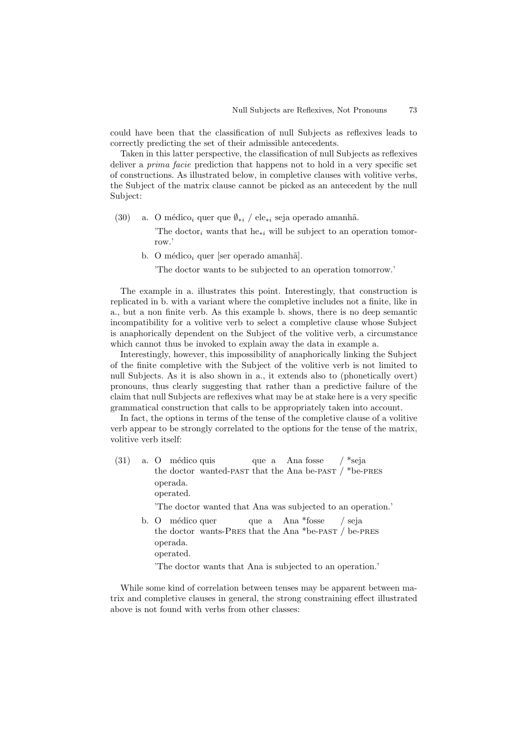could have been that the classification of null Subjects as reflexives leads to correctly predicting the set of their admissible antecedents.

Taken in this latter perspective, the classification of null Subjects as reflexives deliver a *prima facie* prediction that happens not to hold in a very specific set of constructions. As illustrated below, in completive clauses with volitive verbs, the Subject of the matrix clause cannot be picked as an antecedent by the null Subject:

(30) a. O m´edico*<sup>i</sup>* quer que ∅∗*<sup>i</sup>* / ele∗*<sup>i</sup>* seja operado amanh˜a.

'The doctor<sub>i</sub> wants that he<sub>\**i*</sub> will be subject to an operation tomorrow.'

b. O médico<sub>i</sub> quer [ser operado amanhã].

'The doctor wants to be subjected to an operation tomorrow.'

The example in a. illustrates this point. Interestingly, that construction is replicated in b. with a variant where the completive includes not a finite, like in a., but a non finite verb. As this example b. shows, there is no deep semantic incompatibility for a volitive verb to select a completive clause whose Subject is anaphorically dependent on the Subject of the volitive verb, a circumstance which cannot thus be invoked to explain away the data in example a.

Interestingly, however, this impossibility of anaphorically linking the Subject of the finite completive with the Subject of the volitive verb is not limited to null Subjects. As it is also shown in a., it extends also to (phonetically overt) pronouns, thus clearly suggesting that rather than a predictive failure of the claim that null Subjects are reflexives what may be at stake here is a very specific grammatical construction that calls to be appropriately taken into account.

In fact, the options in terms of the tense of the completive clause of a volitive verb appear to be strongly correlated to the options for the tense of the matrix, volitive verb itself:

 $(31)$  a. O médico quis the doctor wanted-PAST that the Ana be-PAST / \*be-PRES que a Ana fosse / \*seja operada. operated.

'The doctor wanted that Ana was subjected to an operation.'

b. O médico quer the doctor wants-PRES that the Ana \*be-PAST / be-PRES que a Ana \*fosse / seja operada. operated.

'The doctor wants that Ana is subjected to an operation.'

While some kind of correlation between tenses may be apparent between matrix and completive clauses in general, the strong constraining effect illustrated above is not found with verbs from other classes: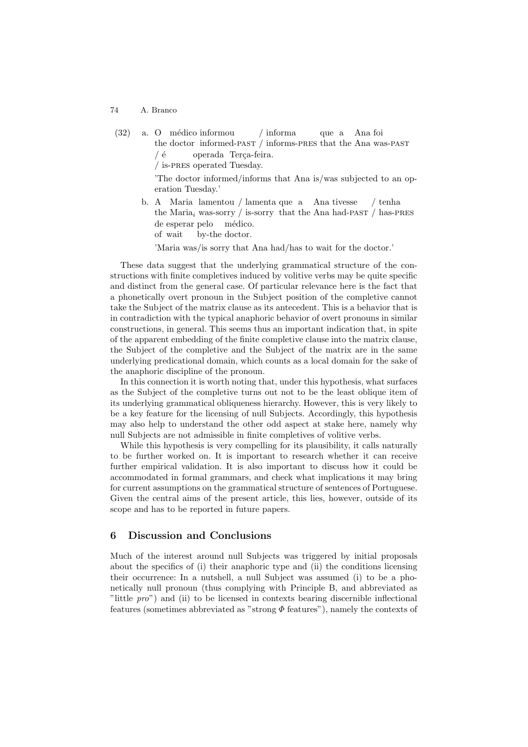- (32) a. O médico informou the doctor informed-PAST / informs-PRES that the Ana was-PAST / informa que a Ana foi / é / is-pres operated Tuesday. operada Terça-feira. 'The doctor informed/informs that Ana is/was subjected to an operation Tuesday.'
	- b. A Maria lamentou / lamenta que a Ana tivesse the Maria<sub>i</sub> was-sorry / is-sorry that the Ana had-PAST / has-PRES / tenha de esperar pelo of wait by-the doctor. médico.

'Maria was/is sorry that Ana had/has to wait for the doctor.'

These data suggest that the underlying grammatical structure of the constructions with finite completives induced by volitive verbs may be quite specific and distinct from the general case. Of particular relevance here is the fact that a phonetically overt pronoun in the Subject position of the completive cannot take the Subject of the matrix clause as its antecedent. This is a behavior that is in contradiction with the typical anaphoric behavior of overt pronouns in similar constructions, in general. This seems thus an important indication that, in spite of the apparent embedding of the finite completive clause into the matrix clause, the Subject of the completive and the Subject of the matrix are in the same underlying predicational domain, which counts as a local domain for the sake of the anaphoric discipline of the pronoun.

In this connection it is worth noting that, under this hypothesis, what surfaces as the Subject of the completive turns out not to be the least oblique item of its underlying grammatical obliqueness hierarchy. However, this is very likely to be a key feature for the licensing of null Subjects. Accordingly, this hypothesis may also help to understand the other odd aspect at stake here, namely why null Subjects are not admissible in finite completives of volitive verbs.

While this hypothesis is very compelling for its plausibility, it calls naturally to be further worked on. It is important to research whether it can receive further empirical validation. It is also important to discuss how it could be accommodated in formal grammars, and check what implications it may bring for current assumptions on the grammatical structure of sentences of Portuguese. Given the central aims of the present article, this lies, however, outside of its scope and has to be reported in future papers.

# <span id="page-15-0"></span>**6 Discussion and Conclusions**

Much of the interest around null Subjects was triggered by initial proposals about the specifics of (i) their anaphoric type and (ii) the conditions licensing their occurrence: In a nutshell, a null Subject was assumed (i) to be a phonetically null pronoun (thus complying with Principle B, and abbreviated as "little *pro*") and (ii) to be licensed in contexts bearing discernible inflectional features (sometimes abbreviated as "strong  $\Phi$  features"), namely the contexts of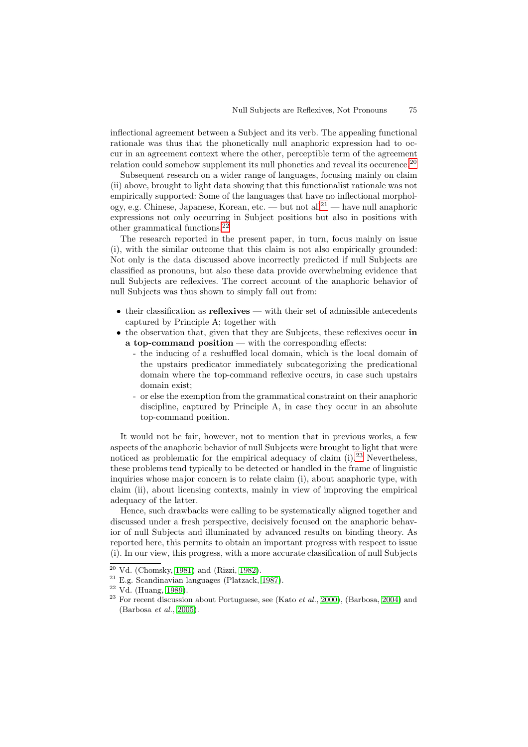inflectional agreement between a Subject and its verb. The appealing functional rationale was thus that the phonetically null anaphoric expression had to occur in an agreement context where the other, perceptible term of the agreement relation could somehow supplement its null phonetics and reveal its occurence.<sup>20</sup>

Subsequent research on a wider range of languages, focusing mainly on claim (ii) above, brought to light data showing that this functionalist rationale was not empirically supported: Some of the languages that have no inflectional morphology, e.g. Chinese, Japanese, Korean, etc. — but not all<sup>21</sup> — have null anaphoric expressions not only occurring in Subject positions but also in positions with other grammatical functions.<sup>22</sup>

The research reported in the present paper, in turn, focus mainly on issue (i), with the similar outcome that this claim is not also empirically grounded: Not only is the data discussed above incorrectly predicted if null Subjects are classified as pronouns, but also these data provide overwhelming evidence that null Subjects are reflexives. The correct account of the anaphoric behavior of null Subjects was thus shown to simply fall out from:

- their classification as **reflexives** with their set of admissible antecedents captured by Principle A; together with
- the observation that, given that they are Subjects, these reflexives occur **in a top-command position** — with the corresponding effects:
	- the inducing of a reshuffled local domain, which is the local domain of the upstairs predicator immediately subcategorizing the predicational domain where the top-command reflexive occurs, in case such upstairs domain exist;
	- or else the exemption from the grammatical constraint on their anaphoric discipline, captured by Principle A, in case they occur in an absolute top-command position.

It would not be fair, however, not to mention that in previous works, a few aspects of the anaphoric behavior of null Subjects were brought to light that were noticed as problematic for the empirical adequacy of claim  $(i)$ .<sup>23</sup> Nevertheless, these problems tend typically to be detected or handled in the frame of linguistic inquiries whose major concern is to relate claim (i), about anaphoric type, with claim (ii), about licensing contexts, mainly in view of improving the empirical adequacy of the latter.

Hence, such drawbacks were calling to be systematically aligned together and discussed under a fresh perspective, decisively focused on the anaphoric behavior of null Subjects and illuminated by advanced results on binding theory. As reported here, this permits to obtain an important progress with respect to issue (i). In our view, this progress, with a more accurate classification of null Subjects

 $\overline{^{20}$  Vd. (Chomsky, 1981) and (Rizzi, 1982).

<sup>21</sup> E.g. Scandinavian languages (Platzack, 1987).

<sup>22</sup> Vd. (Huang, 1989).

<sup>&</sup>lt;sup>23</sup> For recent discussion about Portuguese, see (Kato *et al.*, 2000), (Barbosa, 2004) and (Barbosa *et al.*, 2005).